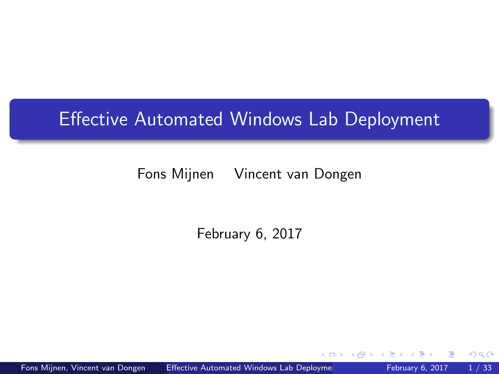# <span id="page-0-0"></span>Effective Automated Windows Lab Deployment

Fons Mijnen Vincent van Dongen

February 6, 2017

 $QQ$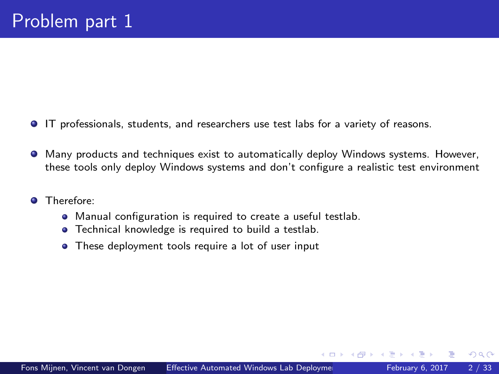- IT professionals, students, and researchers use test labs for a variety of reasons.
- Many products and techniques exist to automatically deploy Windows systems. However, these tools only deploy Windows systems and don't configure a realistic test environment
- **O** Therefore:
	- Manual configuration is required to create a useful testlab.
	- **•** Technical knowledge is required to build a testlab.
	- These deployment tools require a lot of user input

4 D F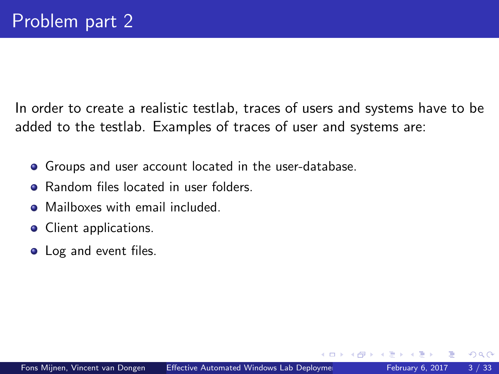In order to create a realistic testlab, traces of users and systems have to be added to the testlab. Examples of traces of user and systems are:

- Groups and user account located in the user-database.
- Random files located in user folders.
- Mailboxes with email included.
- Client applications.
- Log and event files.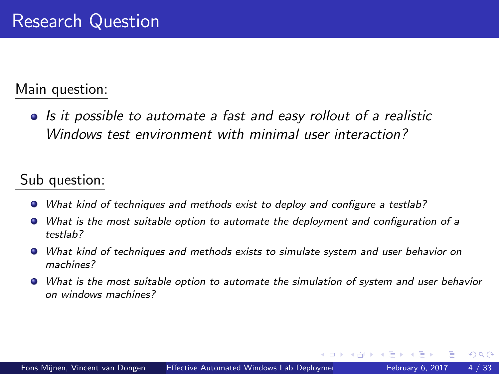#### Main question:

• Is it possible to automate a fast and easy rollout of a realistic Windows test environment with minimal user interaction?

### Sub question:

- What kind of techniques and methods exist to deploy and configure a testlab?
- What is the most suitable option to automate the deployment and configuration of a testlab?
- What kind of techniques and methods exists to simulate system and user behavior on machines?
- What is the most suitable option to automate the simulation of system and user behavior on windows machines?

4 D F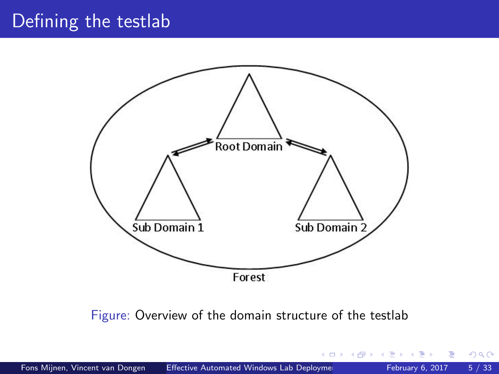# Defining the testlab



Figure: Overview of the domain structure of the testlab

4 D F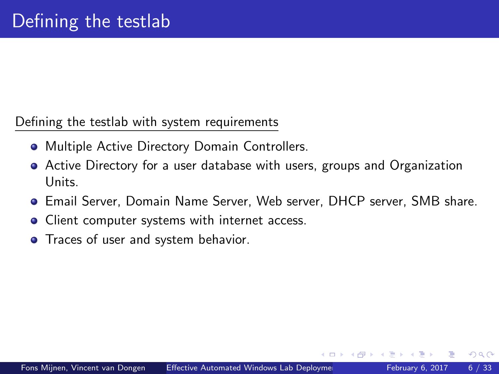#### Defining the testlab with system requirements

- **Multiple Active Directory Domain Controllers.**
- Active Directory for a user database with users, groups and Organization Units.
- Email Server, Domain Name Server, Web server, DHCP server, SMB share.
- Client computer systems with internet access.
- **•** Traces of user and system behavior.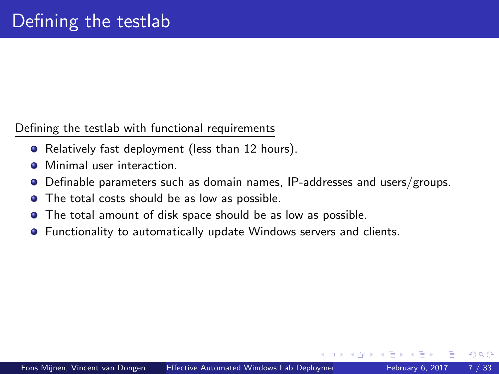Defining the testlab with functional requirements

- Relatively fast deployment (less than 12 hours).
- Minimal user interaction. ٠
- Definable parameters such as domain names, IP-addresses and users/groups. 0
- The total costs should be as low as possible.  $\bullet$
- The total amount of disk space should be as low as possible.
- Functionality to automatically update Windows servers and clients.  $\bullet$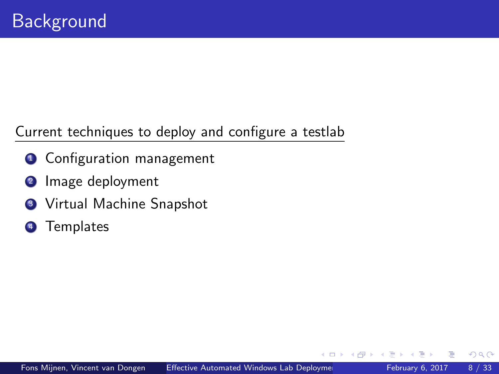Current techniques to deploy and configure a testlab

- **1** Configuration management
- <sup>2</sup> Image deployment
- **3** Virtual Machine Snapshot
- <sup>4</sup> Templates

 $\leftarrow$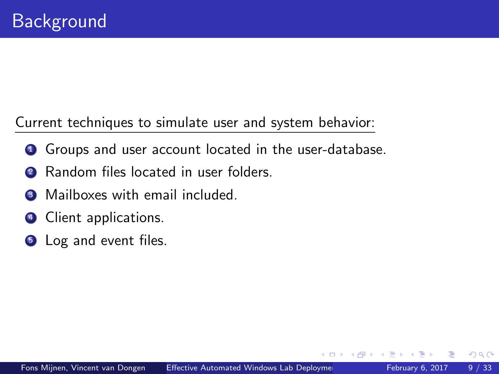Current techniques to simulate user and system behavior:

- **1** Groups and user account located in the user-database.
- 2 Random files located in user folders.
- <sup>3</sup> Mailboxes with email included.
- **4** Client applications.
- **6** Log and event files.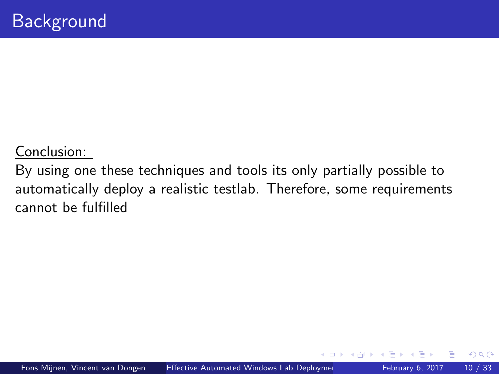#### Conclusion:

By using one these techniques and tools its only partially possible to automatically deploy a realistic testlab. Therefore, some requirements cannot be fulfilled

 $\leftarrow$   $\Box$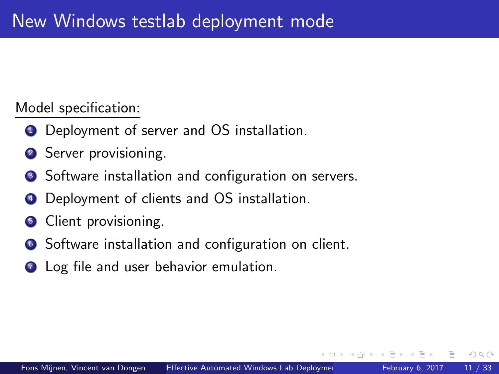Model specification:

- **1** Deployment of server and OS installation.
- <sup>2</sup> Server provisioning.
- **3** Software installation and configuration on servers.
- Deployment of clients and OS installation.
- <sup>5</sup> Client provisioning.
- <sup>6</sup> Software installation and configuration on client.
- **7** Log file and user behavior emulation.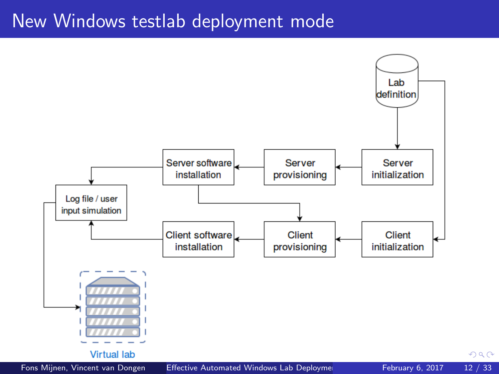## New Windows testlab deployment mode

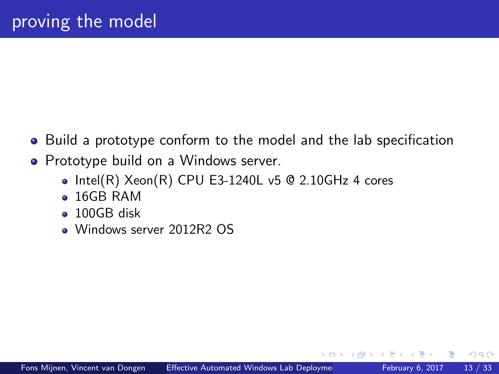- <span id="page-12-0"></span>Build a prototype conform to the model and the lab specification
- Prototype build on a Windows server.
	- $\bullet$  Intel(R) Xeon(R) CPU E3-1240L v5 @ 2.10GHz 4 cores
	- 16GB RAM
	- 100GB disk
	- Windows server 2012R2 OS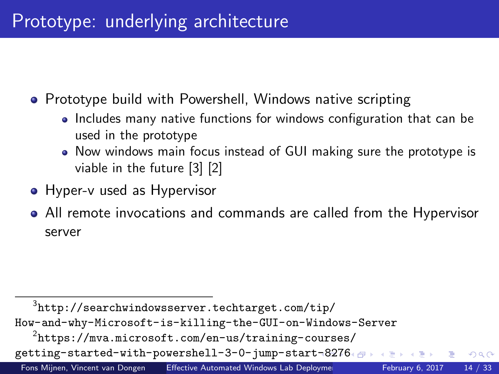# Prototype: underlying architecture

• Prototype build with Powershell, Windows native scripting

- Includes many native functions for windows configuration that can be used in the prototype
- Now windows main focus instead of GUI making sure the prototype is viable in the future [\[3\]](#page-33-1) [\[2\]](#page-33-2)
- Hyper-v used as Hypervisor
- All remote invocations and commands are called from the Hypervisor server

 $^3$ [http://searchwindowsserver.techtarget.com/tip/](http://searchwindowsserver.techtarget.com/tip/How-and-why-Microsoft-is-killing-the-GUI-on-Windows-Server) [How-and-why-Microsoft-is-killing-the-GUI-on-Windows-Server](http://searchwindowsserver.techtarget.com/tip/How-and-why-Microsoft-is-killing-the-GUI-on-Windows-Server)  $^{2}$ [https://mva.microsoft.com/en-us/training-courses/](https://mva.microsoft.com/en-us/training-courses/getting-started-with-powershell-3-0-jump-start-8276) [getting-started-with-powershell-3-0-jump-start-82](https://mva.microsoft.com/en-us/training-courses/getting-started-with-powershell-3-0-jump-start-8276)[7](#page-14-0)[6](https://mva.microsoft.com/en-us/training-courses/getting-started-with-powershell-3-0-jump-start-8276) + 3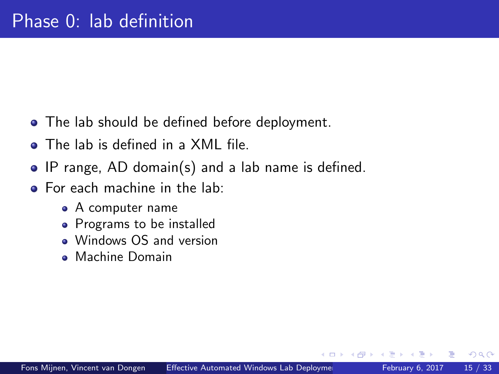- <span id="page-14-0"></span>• The lab should be defined before deployment.
- The lab is defined in a XML file.
- IP range, AD domain(s) and a lab name is defined.
- **•** For each machine in the lab:
	- A computer name
	- Programs to be installed
	- Windows OS and version
	- Machine Domain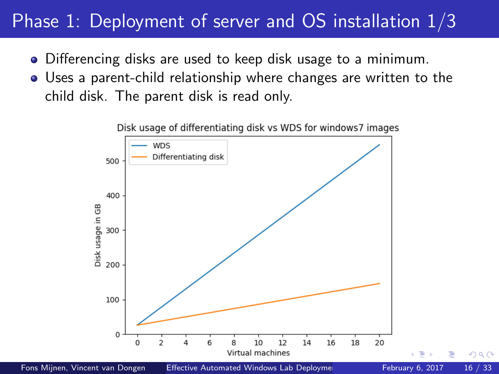# <span id="page-15-0"></span>Phase 1: Deployment of server and OS installation  $1/3$

- Differencing disks are used to keep disk usage to a minimum.
- Uses a parent-child relationship where changes are written to the child disk. The parent disk is read only.



Disk usage of differentiating disk vs WDS for windows7 images

Fons Mijnen, Vincent van Dongen [Effective Automated Windows Lab Deployment](#page-0-0) February 6, 2017 16 / 33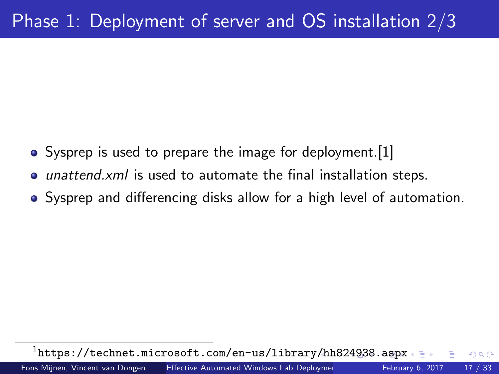- <span id="page-16-0"></span>• Sysprep is used to prepare the image for deployment. [\[1\]](#page-33-3)
- *unattend.xml* is used to automate the final installation steps.
- Sysprep and differencing disks allow for a high level of automation.

 $^{1}$ <https://technet.microsoft.com/en-us/library/hh824938.aspx>  $\Omega$ Fons Mijnen, Vincent van Dongen [Effective Automated Windows Lab Deployment](#page-0-0) February 6, 2017 17 / 33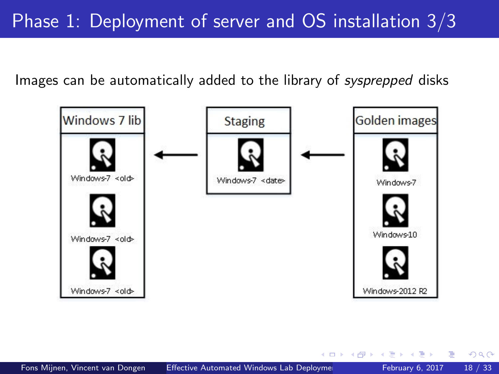<span id="page-17-0"></span>Images can be automatically added to the library of sysprepped disks



4 D F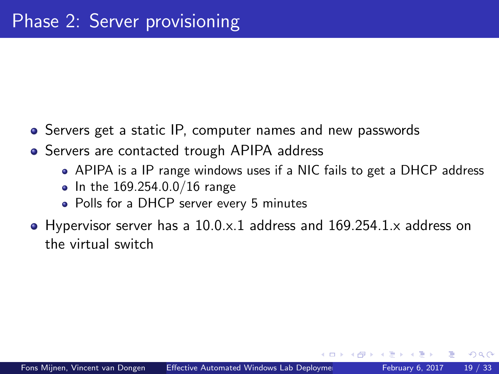- Servers get a static IP, computer names and new passwords
- Servers are contacted trough APIPA address
	- APIPA is a IP range windows uses if a NIC fails to get a DHCP address
	- In the  $169.254.0.0/16$  range
	- Polls for a DHCP server every 5 minutes
- Hypervisor server has a 10.0.x.1 address and 169.254.1.x address on the virtual switch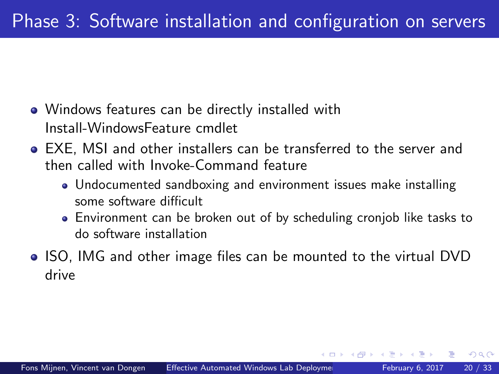- Windows features can be directly installed with Install-WindowsFeature cmdlet
- EXE, MSI and other installers can be transferred to the server and then called with Invoke-Command feature
	- Undocumented sandboxing and environment issues make installing some software difficult
	- Environment can be broken out of by scheduling cronjob like tasks to do software installation

 $200$ 

• ISO, IMG and other image files can be mounted to the virtual DVD drive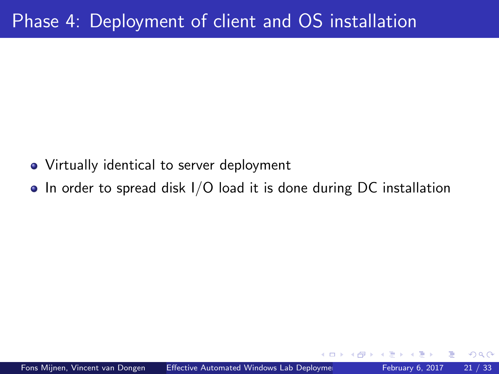- Virtually identical to server deployment
- $\bullet$  In order to spread disk I/O load it is done during DC installation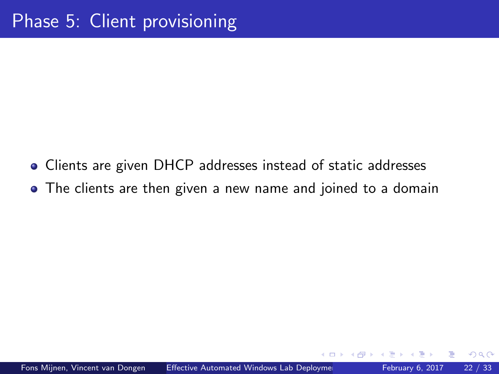- Clients are given DHCP addresses instead of static addresses
- The clients are then given a new name and joined to a domain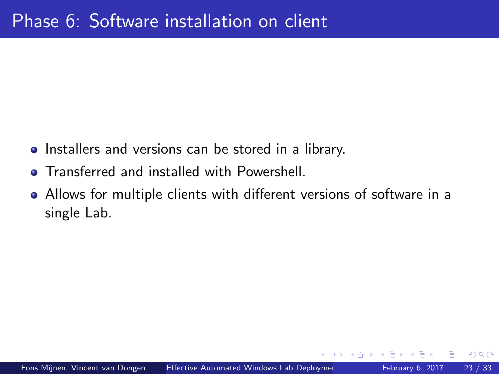- Installers and versions can be stored in a library.
- **Transferred and installed with Powershell.**
- Allows for multiple clients with different versions of software in a single Lab.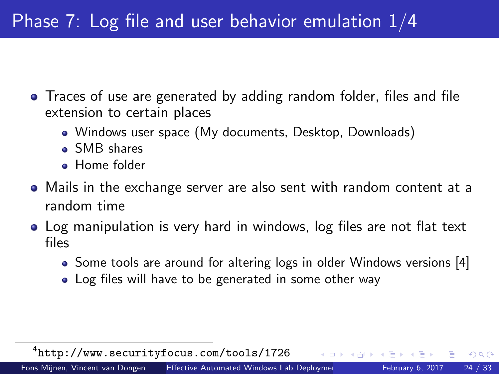- Traces of use are generated by adding random folder, files and file extension to certain places
	- Windows user space (My documents, Desktop, Downloads)
	- SMB shares
	- **Home** folder
- Mails in the exchange server are also sent with random content at a random time
- Log manipulation is very hard in windows, log files are not flat text files
	- Some tools are around for altering logs in older Windows versions [\[4\]](#page-33-4)

 $200$ 

• Log files will have to be generated in some other way

4 <http://www.securityfocus.com/tools/1726>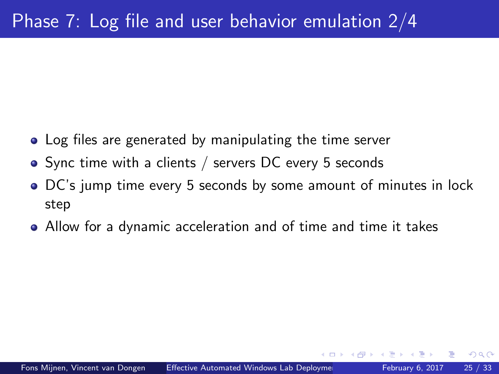- Log files are generated by manipulating the time server
- Sync time with a clients / servers DC every 5 seconds
- DC's jump time every 5 seconds by some amount of minutes in lock step
- Allow for a dynamic acceleration and of time and time it takes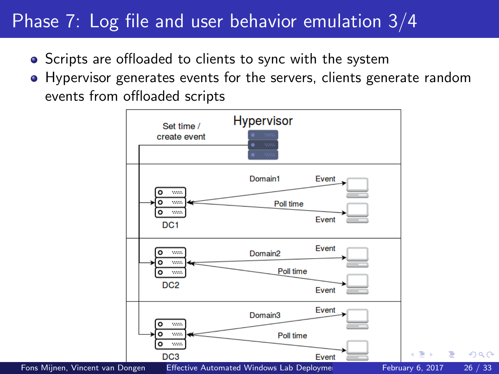# Phase 7: Log file and user behavior emulation 3/4

- Scripts are offloaded to clients to sync with the system
- Hypervisor generates events for the servers, clients generate random events from offloaded scripts

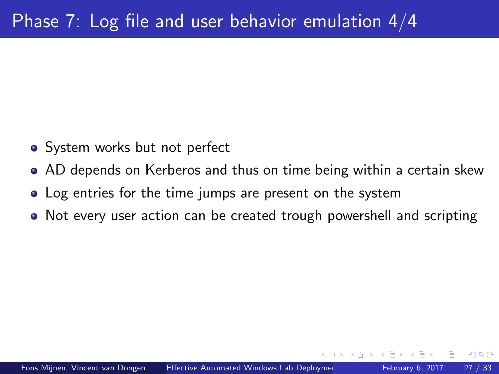- System works but not perfect
- AD depends on Kerberos and thus on time being within a certain skew
- Log entries for the time jumps are present on the system
- Not every user action can be created trough powershell and scripting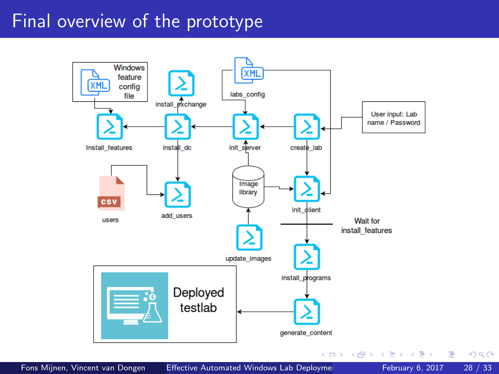# Final overview of the prototype

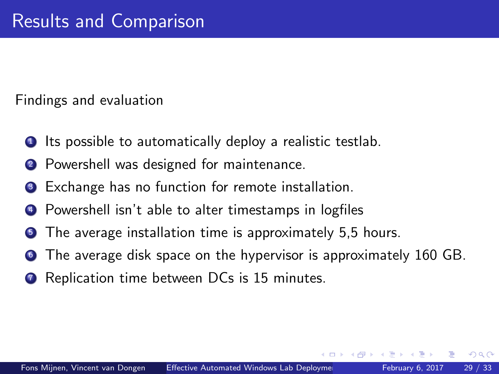Findings and evaluation

- Its possible to automatically deploy a realistic testlab.
- <sup>2</sup> Powershell was designed for maintenance.
- Exchange has no function for remote installation.
- Powershell isn't able to alter timestamps in logfiles
- The average installation time is approximately 5,5 hours.
- The average disk space on the hypervisor is approximately 160 GB.
- Replication time between DCs is 15 minutes.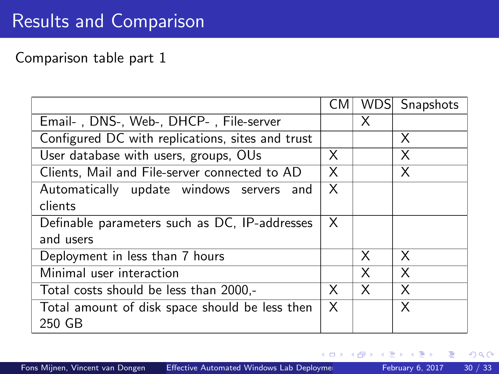### Comparison table part 1

|                                                  | CМ | <b>WDS</b> | Snapshots |
|--------------------------------------------------|----|------------|-----------|
| Email-, DNS-, Web-, DHCP-, File-server           |    | X          |           |
| Configured DC with replications, sites and trust |    |            | Χ         |
| User database with users, groups, OUs            | X  |            | X         |
| Clients, Mail and File-server connected to AD    | X  |            | X         |
| Automatically update windows servers and         | X  |            |           |
| clients                                          |    |            |           |
| Definable parameters such as DC, IP-addresses    | X. |            |           |
| and users                                        |    |            |           |
| Deployment in less than 7 hours                  |    | X          | X         |
| Minimal user interaction                         |    | X          | X         |
| Total costs should be less than 2000,-           | X  | X          | X         |
| Total amount of disk space should be less then   | X  |            | X         |
| 250 GB                                           |    |            |           |

Þ

4 D F

41  $\rightarrow$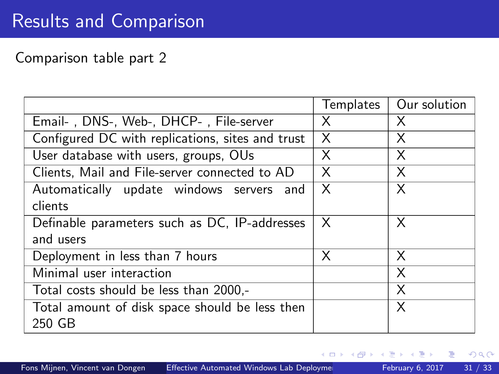### Comparison table part 2

|                                                  | Templates | Our solution |
|--------------------------------------------------|-----------|--------------|
| Email-, DNS-, Web-, DHCP-, File-server           | X         | X            |
| Configured DC with replications, sites and trust | X         | X            |
| User database with users, groups, OUs            | X         | X            |
| Clients, Mail and File-server connected to AD    | X         | X            |
| Automatically update windows servers and         | $\times$  | X            |
| clients                                          |           |              |
| Definable parameters such as DC, IP-addresses    | X         | X            |
| and users                                        |           |              |
| Deployment in less than 7 hours                  | X         | X            |
| Minimal user interaction                         |           | X            |
| Total costs should be less than 2000,-           |           | X            |
| Total amount of disk space should be less then   |           | X            |
| 250 GB                                           |           |              |

Þ

4 D F

a.  $\rightarrow$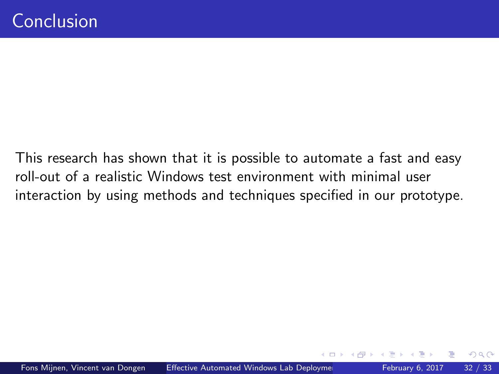This research has shown that it is possible to automate a fast and easy roll-out of a realistic Windows test environment with minimal user interaction by using methods and techniques specified in our prototype.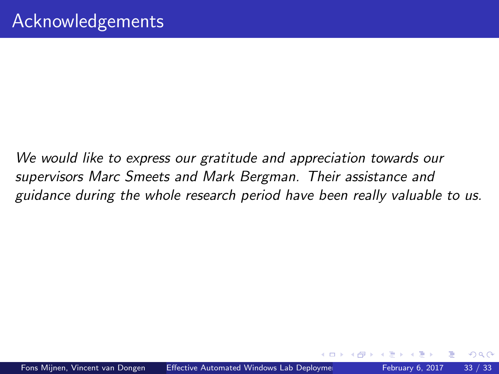We would like to express our gratitude and appreciation towards our supervisors Marc Smeets and Mark Bergman. Their assistance and guidance during the whole research period have been really valuable to us.